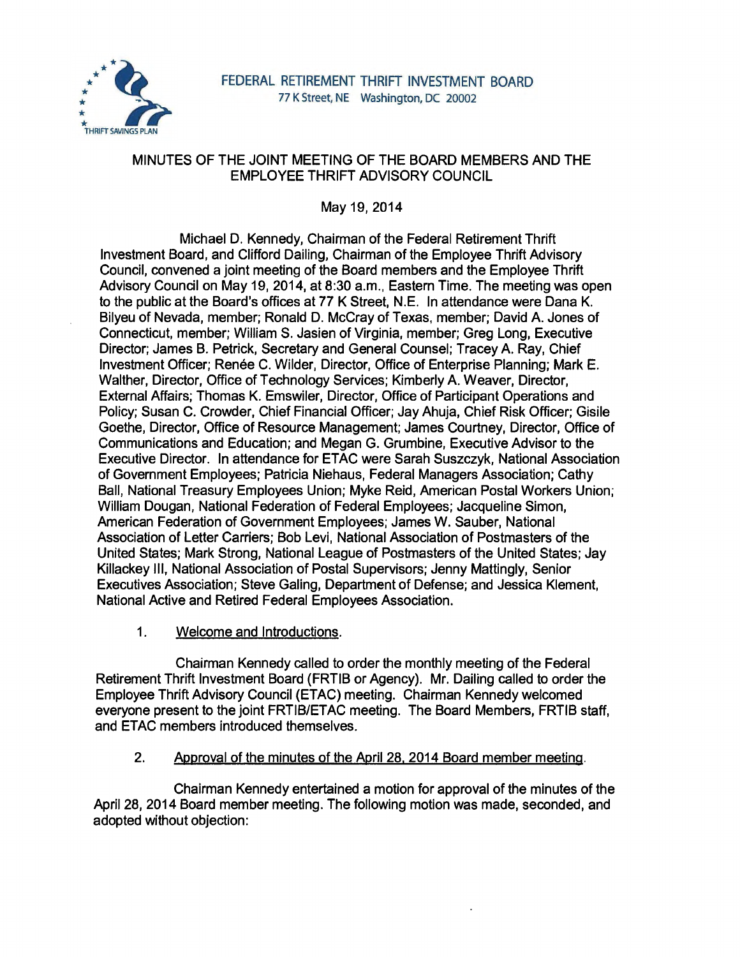

# MINUTES OF THE JOINT MEETING OF THE BOARD MEMBERS AND THE EMPLOYEE THRIFT ADVISORY COUNCIL

May 19, 2014

Michael D. Kennedy, Chairman of the Federal Retirement Thrift Investment Board, and Clifford Dailing, Chairman of the Employee Thrift Advisory Council, convened a joint meeting of the Board members and the Employee Thrift Advisory Council on May 19, 2014, at 8:30 a.m., Eastern Time. The meeting was open to the public at the Board's offices at 77 K Street, N.E. In attendance were Dana K. Bilyeu of Nevada, member; Ronald D. McCray of Texas, member; David A. Jones of Connecticut, member; William S. Jasien of Virginia, member; Greg Long, Executive Director; James B. Petrick, Secretary and General Counsel; Tracey A. Ray, Chief Investment Officer; Renée C. Wilder, Director, Office of Enterprise Planning; Mark E. Walther, Director, Office of Technology Services; Kimberly A. Weaver, Director, External Affairs; Thomas K. Emswiler, Director, Office of Participant Operations and Policy; Susan C. Crowder, Chief Financial Officer; Jay Ahuja, Chief Risk Officer; Gisile Goethe, Director, Office of Resource Management; James Courtney, Director, Office of Communications and Education; and Megan G. Grumbine, Executive Advisor to the Executive Director. In attendance for ETAC were Sarah Suszczyk, National Association of Government Employees; Patricia Niehaus, Federal Managers Association; Cathy Ball, National Treasury Employees Union; Myke Reid, American Postal Workers Union; William Dougan, National Federation of Federal Employees; Jacqueline Simon, American Federation of Government Employees; James W. Sauber, National Association of Letter Carriers; Bob Levi, National Association of Postmasters of the United States; Mark Strong, National League of Postmasters of the United States; Jay Killackey Ill, National Association of Postal Supervisors; Jenny Mattingly, Senior Executives Association; Steve Galing, Department of Defense; and Jessica Klement, National Active and Retired Federal Employees Association.

1. Welcome and Introductions.

Chairman Kennedy called to order the monthly meeting of the Federal Retirement Thrift Investment Board (FRTIB or Agency). Mr. Dailing called to order the Employee Thrift Advisory Council (ET AC) meeting. Chairman Kennedy welcomed everyone present to the joint FRTIB/ETAC meeting. The Board Members, FRTIB staff, and ETAC members introduced themselves.

2. Approval of the minutes of the April 28. 2014 Board member meeting.

Chairman Kennedy entertained a motion for approval of the minutes of the April 28, 2014 Board member meeting. The following motion was made, seconded, and adopted without objection: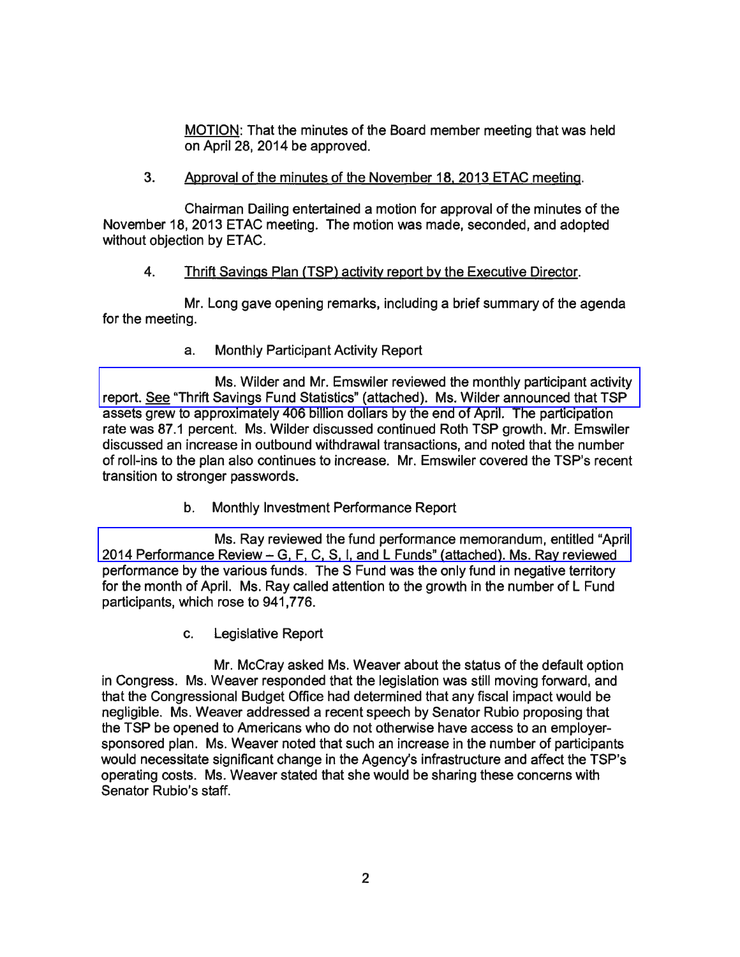MOTION: That the minutes of the Board member meeting that was held on April 28, 2014 be approved.

## 3. Approval of the minutes of the November 18. 2013 ETAC meeting.

Chairman Dailing entertained a motion for approval of the minutes of the November 18, 2013 ETAC meeting. The motion was made, seconded, and adopted without objection by ETAC.

## 4. Thrift Savings Plan (TSP) activity report by the Executive Director.

Mr. Long gave opening remarks, including a brief summary of the agenda for the meeting.

a. Monthly Participant Activity Report

Ms. Wilder and Mr. Emswiler reviewed the monthly participant activity [report. See "Thrift Savings Fund Statistics" \(attached\). Ms. Wilder announced that TSP](http://www.frtib.gov/pdf/minutes/MM-2014May-Att1.pdf)  assets grew to approximately 406 billion dollars by the end of April. The participation rate was 87.1 percent. Ms. Wilder discussed continued Roth TSP growth. Mr. Emswiler discussed an increase in outbound withdrawal transactions, and noted that the number of roll-ins to the plan also continues to increase. Mr. Emswiler covered the TSP's recent transition to stronger passwords.

b. Monthly Investment Performance Report

[Ms. Ray reviewed the fund performance memorandum, entitled "April](http://www.frtib.gov/pdf/minutes/MM-2014May-Att2.pdf)  2014 Performance Review- G, F, C, S, I, and L Funds" (attached). Ms. Ray reviewed performance by the various funds. The S Fund was the only fund in negative territory for the month of April. Ms. Ray called attention to the growth in the number of L Fund participants, which rose to 941, 776.

c. Legislative Report

Mr. McCray asked Ms. Weaver about the status of the default option in Congress. Ms. Weaver responded that the legislation was still moving forward, and that the Congressional Budget Office had determined that any fiscal impact would be negligible. Ms. Weaver addressed a recent speech by Senator Rubio proposing that the TSP be opened to Americans who do not otherwise have access to an employersponsored plan. Ms. Weaver noted that such an increase in the number of participants would necessitate significant change in the Agency's infrastructure and affect the TSP's operating costs. Ms. Weaver stated that she would be sharing these concerns with Senator Rubio's staff.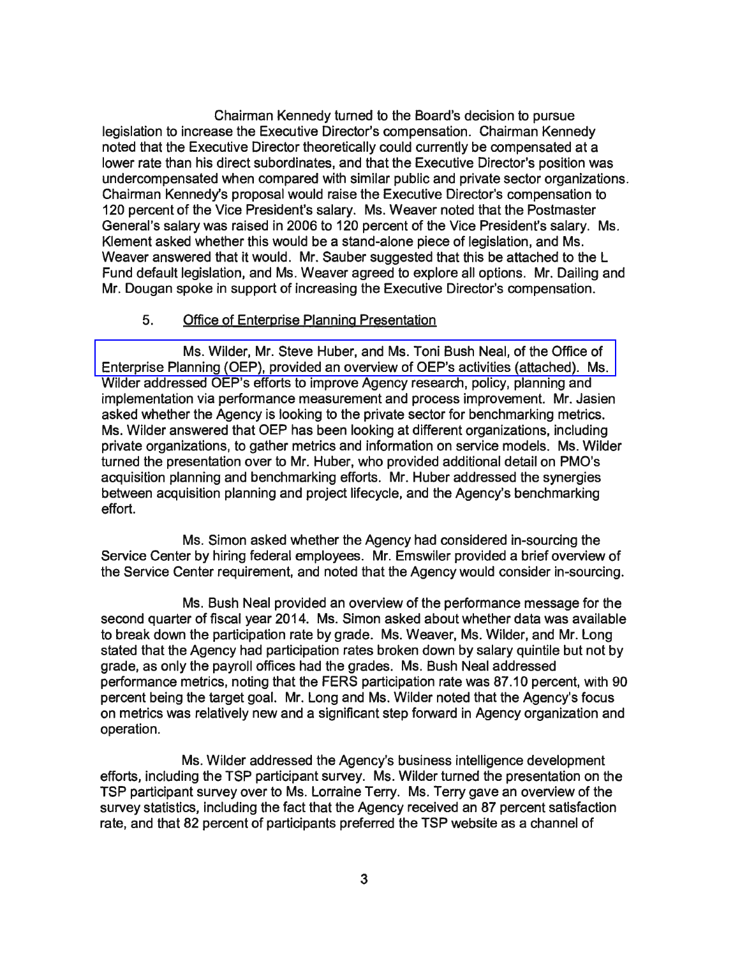Chairman Kennedy turned to the Board's decision to pursue legislation to increase the Executive Director's compensation. Chairman Kennedy noted that the Executive Director theoretically could currently be compensated at a lower rate than his direct subordinates, and that the Executive Director's position was undercompensated when compared with similar public and private sector organizations. Chairman Kennedy's proposal would raise the Executive Director's compensation to 120 percent of the Vice President's salary. Ms. Weaver noted that the Postmaster General's salary was raised in 2006 to 120 percent of the Vice President's salary. Ms. Klement asked whether this would be a stand-alone piece of legislation, and Ms. Weaver answered that it would. Mr. Sauber suggested that this be attached to the L Fund default legislation, and Ms. Weaver agreed to explore all options. Mr. Dailing and Mr. Dougan spoke in support of increasing the Executive Director's compensation.

### 5. Office of Enterprise Planning Presentation

Ms. Wilder, Mr. Steve Huber, and Ms. Toni Bush Neal, of the Office of [Enterprise Planning \(OEP\), provided an overview of OEP's activities \(attached\). Ms.](http://www.frtib.gov/pdf/minutes/MM-2014May-Att3.pdf)  Wilder addressed OEP's efforts to improve Agency research, policy, planning and implementation via performance measurement and process improvement. Mr. Jasien asked whether the Agency is looking to the private sector for benchmarking metrics. Ms. Wilder answered that OEP has been looking at different organizations, including private organizations, to gather metrics and information on service models. Ms. Wilder turned the presentation over to Mr. Huber, who provided additional detail on PMO's acquisition planning and benchmarking efforts. Mr. Huber addressed the synergies between acquisition planning and project lifecycle, and the Agency's benchmarking effort.

Ms. Simon asked whether the Agency had considered in-sourcing the Service Center by hiring federal employees. Mr. Emswiler provided a brief overview of the Service Center requirement, and noted that the Agency would consider in-sourcing.

Ms. Bush Neal provided an overview of the performance message for the second quarter of fiscal year 2014. Ms. Simon asked about whether data was available to break down the participation rate by grade. Ms. Weaver, Ms. Wilder, and Mr. Long stated that the Agency had participation rates broken down by salary quintile but not by grade, as only the payroll offices had the grades. Ms. Bush Neal addressed performance metrics, noting that the FERS participation rate was 87 .10 percent, with 90 percent being the target goal. Mr. Long and Ms. Wilder noted that the Agency's focus on metrics was relatively new and a significant step forward in Agency organization and operation.

Ms. Wilder addressed the Agency's business intelligence development efforts, including the TSP participant survey. Ms. Wilder turned the presentation on the TSP participant survey over to Ms. Lorraine Terry. Ms. Terry gave an overview of the survey statistics, including the fact that the Agency received an 87 percent satisfaction rate, and that 82 percent of participants preferred the TSP website as a channel of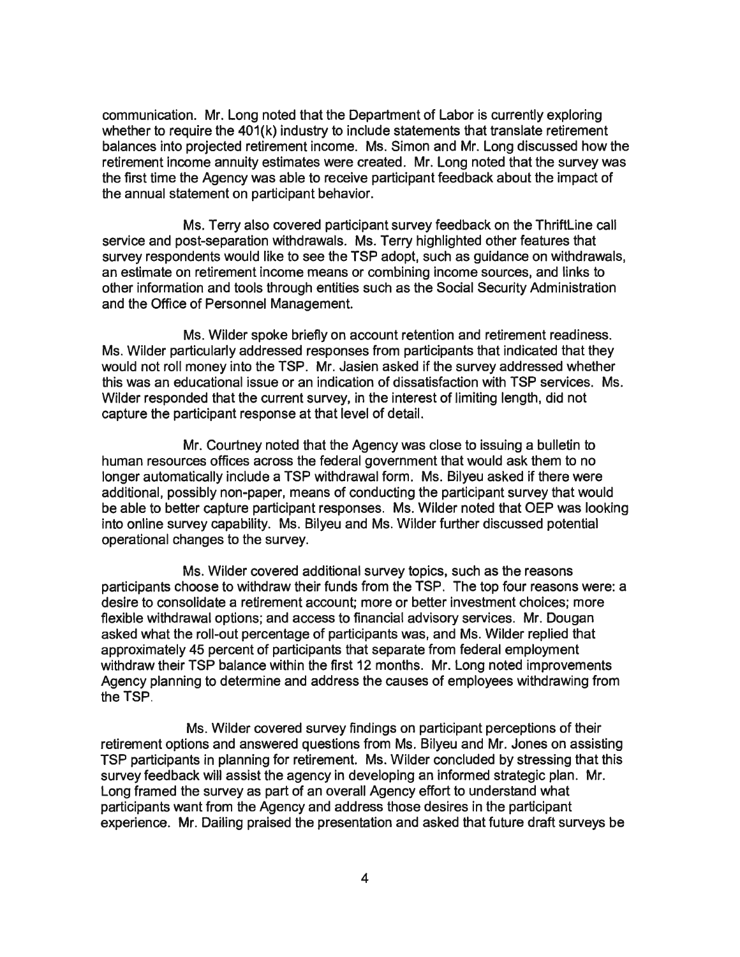communication. Mr. Long noted that the Department of Labor is currently exploring whether to require the 401(k) industry to include statements that translate retirement balances into projected retirement income. Ms. Simon and Mr. Long discussed how the retirement income annuity estimates were created. Mr. Long noted that the survey was the first time the Agency was able to receive participant feedback about the impact of the annual statement on participant behavior.

Ms. Terry also covered participant survey feedback on the ThriftLine call service and post-separation withdrawals. Ms. Terry highlighted other features that survey respondents would like to see the TSP adopt, such as guidance on withdrawals, an estimate on retirement income means or combining income sources, and links to other information and tools through entities such as the Social Security Administration and the Office of Personnel Management.

Ms. Wilder spoke briefly on account retention and retirement readiness. Ms. Wilder particularly addressed responses from participants that indicated that they would not roll money into the TSP. Mr. Jasien asked if the survey addressed whether this was an educational issue or an indication of dissatisfaction with TSP services. Ms. Wilder responded that the current survey, in the interest of limiting length, did not capture the participant response at that level of detail.

Mr. Courtney noted that the Agency was close to issuing a bulletin to human resources offices across the federal government that would ask them to no longer automatically include a TSP withdrawal form. Ms. Bilyeu asked if there were additional, possibly non-paper, means of conducting the participant survey that would be able to better capture participant responses. Ms. Wilder noted that OEP was looking into online survey capability. Ms. Bilyeu and Ms. Wilder further discussed potential operational changes to the survey.

Ms. Wilder covered additional survey topics, such as the reasons participants choose to withdraw their funds from the TSP. The top four reasons were: a desire to consolidate a retirement account; more or better investment choices; more flexible withdrawal options; and access to financial advisory services. Mr. Dougan asked what the roll-out percentage of participants was, and Ms. Wilder replied that approximately 45 percent of participants that separate from federal employment withdraw their TSP balance within the first 12 months. Mr. Long noted improvements Agency planning to determine and address the causes of employees withdrawing from the TSP.

Ms. Wilder covered survey findings on participant perceptions of their retirement options and answered questions from Ms. Bilyeu and Mr. Jones on assisting TSP participants in planning for retirement. Ms. Wilder concluded by stressing that this survey feedback will assist the agency in developing an informed strategic plan. Mr. Long framed the survey as part of an overall Agency effort to understand what participants want from the Agency and address those desires in the participant experience. Mr. Dailing praised the presentation and asked that future draft surveys be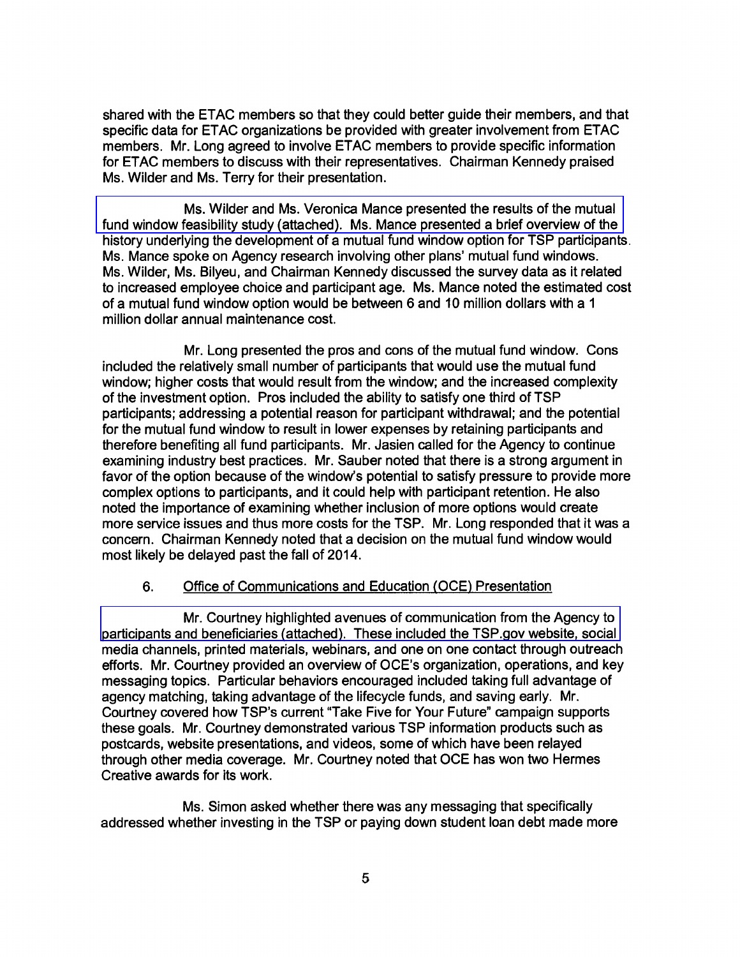shared with the ETAC members so that they could better guide their members, and that specific data for ETAC organizations be provided with greater involvement from ETAC members. Mr. Long agreed to involve ETAC members to provide specific information for ET AC members to discuss with their representatives. Chairman Kennedy praised Ms. Wilder and Ms. Terry for their presentation.

Ms. Wilder and Ms. Veronica Mance presented the results of the mutual [fund window feasibility study \(attached\). Ms. Mance presented a brief overview of the](http://www.frtib.gov/pdf/minutes/MM-2014May-Att4.pdf)  history underlying the development of a mutual fund window option for TSP participants. Ms. Mance spoke on Agency research involving other plans' mutual fund windows. Ms. Wilder, Ms. Bilyeu, and Chairman Kennedy discussed the survey data as it related to increased employee choice and participant age. Ms. Mance noted the estimated cost of a mutual fund window option would be between 6 and 10 million dollars with a 1 million dollar annual maintenance cost.

Mr. Long presented the pros and cons of the mutual fund window. Cons included the relatively small number of participants that would use the mutual fund window; higher costs that would result from the window; and the increased complexity of the investment option. Pros included the ability to satisfy one third of TSP participants; addressing a potential reason for participant withdrawal; and the potential for the mutual fund window to result in lower expenses by retaining participants and therefore benefiting all fund participants. Mr. Jasien called for the Agency to continue examining industry best practices. Mr. Sauber noted that there is a strong argument in favor of the option because of the window's potential to satisfy pressure to provide more complex options to participants, and it could help with participant retention. He also noted the importance of examining whether inclusion of more options would create more service issues and thus more costs for the TSP. Mr. Long responded that it was a concern. Chairman Kennedy noted that a decision on the mutual fund window would most likely be delayed past the fall of 2014.

## 6. Office of Communications and Education (OCE) Presentation

Mr. Courtney highlighted avenues of communication from the Agency to [participants and beneficiaries \(attached\). These included the TSP.gov website, social](http://www.frtib.gov/pdf/minutes/MM-2014May-Att5.pdf)  media channels, printed materials, webinars, and one on one contact through outreach efforts. Mr. Courtney provided an overview of OCE's organization, operations, and key messaging topics. Particular behaviors encouraged included taking full advantage of agency matching, taking advantage of the lifecycle funds, and saving early. Mr. Courtney covered how TSP's current "Take Five for Your Future" campaign supports these goals. Mr. Courtney demonstrated various TSP information products such as postcards, website presentations, and videos, some of which have been relayed through other media coverage. Mr. Courtney noted that OCE has won two Hermes Creative awards for its work.

Ms. Simon asked whether there was any messaging that specifically addressed whether investing in the TSP or paying down student loan debt made more